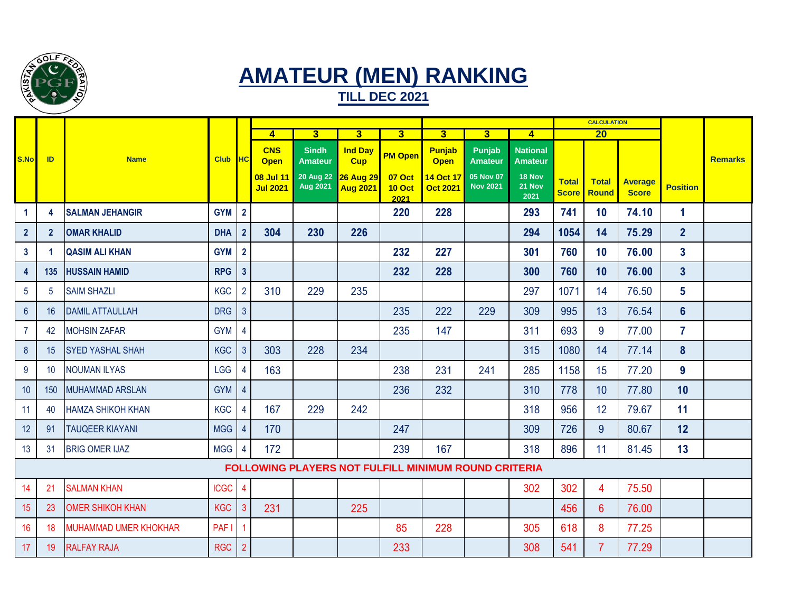

## **AMATEUR (MEN) RANKING**

**TILL DEC 2021**

|                 |                                                      |                              |             |                         |                              |                                     |                                     |                                 |                              |                              | <b>CALCULATION</b>                |                              |                              |                                |                         |                |
|-----------------|------------------------------------------------------|------------------------------|-------------|-------------------------|------------------------------|-------------------------------------|-------------------------------------|---------------------------------|------------------------------|------------------------------|-----------------------------------|------------------------------|------------------------------|--------------------------------|-------------------------|----------------|
|                 |                                                      |                              |             |                         | $\overline{4}$               | $\overline{3}$<br>$\overline{3}$    |                                     | 3 <sup>1</sup>                  | 3 <sup>1</sup>               | $\overline{\mathbf{3}}$      | $\blacktriangle$                  | $\overline{20}$              |                              |                                |                         |                |
| S.No            | ID                                                   | <b>Name</b>                  | <b>Club</b> | <b>HC</b>               | <b>CNS</b><br><b>Open</b>    | <b>Sindh</b><br><b>Amateur</b>      | <b>Ind Day</b><br><b>Cup</b>        | <b>PM Open</b>                  | <b>Punjab</b><br><b>Open</b> | Punjab<br><b>Amateur</b>     | <b>National</b><br><b>Amateur</b> |                              |                              |                                |                         | <b>Remarks</b> |
|                 |                                                      |                              |             |                         | 08 Jul 11<br><b>Jul 2021</b> | <b>20 Aug 22</b><br><b>Aug 2021</b> | <b>26 Aug 29</b><br><b>Aug 2021</b> | 07 Oct<br><b>10 Oct</b><br>2021 | 14 Oct 17<br><b>Oct 2021</b> | 05 Nov 07<br><b>Nov 2021</b> | 18 Nov<br>21 Nov<br>2021          | <b>Total</b><br><b>Score</b> | <b>Total</b><br><b>Round</b> | <b>Average</b><br><b>Score</b> | <b>Position</b>         |                |
| -1              | 4                                                    | <b>SALMAN JEHANGIR</b>       | <b>GYM</b>  | $\overline{2}$          |                              |                                     |                                     | 220                             | 228                          |                              | 293                               | 741                          | 10                           | 74.10                          | 1                       |                |
| $\overline{2}$  | $\overline{2}$                                       | <b>OMAR KHALID</b>           | <b>DHA</b>  | $\overline{2}$          | 304                          | 230                                 | 226                                 |                                 |                              |                              | 294                               | 1054                         | 14                           | 75.29                          | $\overline{2}$          |                |
| $\mathbf{3}$    |                                                      | <b>QASIM ALI KHAN</b>        | <b>GYM</b>  | $\overline{2}$          |                              |                                     |                                     | 232                             | 227                          |                              | 301                               | 760                          | 10                           | 76.00                          | $\overline{\mathbf{3}}$ |                |
| 4               | 135                                                  | <b>HUSSAIN HAMID</b>         | <b>RPG</b>  | $\mathbf{3}$            |                              |                                     |                                     | 232                             | 228                          |                              | 300                               | 760                          | 10                           | 76.00                          | $\overline{\mathbf{3}}$ |                |
| $5\phantom{.0}$ | 5                                                    | <b>SAIM SHAZLI</b>           | <b>KGC</b>  | $\overline{2}$          | 310                          | 229                                 | 235                                 |                                 |                              |                              | 297                               | 1071                         | 14                           | 76.50                          | 5                       |                |
| $6\overline{6}$ | 16                                                   | <b>DAMIL ATTAULLAH</b>       | <b>DRG</b>  | $\overline{3}$          |                              |                                     |                                     | 235                             | 222                          | 229                          | 309                               | 995                          | 13                           | 76.54                          | $6\phantom{1}$          |                |
| $\overline{7}$  | 42                                                   | <b>MOHSIN ZAFAR</b>          | <b>GYM</b>  | 4                       |                              |                                     |                                     | 235                             | 147                          |                              | 311                               | 693                          | 9                            | 77.00                          | $\overline{7}$          |                |
| 8               | 15                                                   | <b>SYED YASHAL SHAH</b>      | <b>KGC</b>  | $\mathbf{3}$            | 303                          | 228                                 | 234                                 |                                 |                              |                              | 315                               | 1080                         | 14                           | 77.14                          | 8                       |                |
| 9               | 10                                                   | <b>NOUMAN ILYAS</b>          | LGG         | $\overline{\mathbf{4}}$ | 163                          |                                     |                                     | 238                             | 231                          | 241                          | 285                               | 1158                         | 15                           | 77.20                          | 9                       |                |
| 10              | 150                                                  | <b>MUHAMMAD ARSLAN</b>       | <b>GYM</b>  | $\overline{4}$          |                              |                                     |                                     | 236                             | 232                          |                              | 310                               | 778                          | 10                           | 77.80                          | 10                      |                |
| 11              | 40                                                   | <b>HAMZA SHIKOH KHAN</b>     | <b>KGC</b>  | $\overline{4}$          | 167                          | 229                                 | 242                                 |                                 |                              |                              | 318                               | 956                          | 12                           | 79.67                          | 11                      |                |
| 12              | 91                                                   | <b>TAUQEER KIAYANI</b>       | <b>MGG</b>  | $\overline{4}$          | 170                          |                                     |                                     | 247                             |                              |                              | 309                               | 726                          | 9                            | 80.67                          | 12                      |                |
| 13              | 31                                                   | <b>BRIG OMER IJAZ</b>        | <b>MGG</b>  | 4                       | 172                          |                                     |                                     | 239                             | 167                          |                              | 318                               | 896                          | 11                           | 81.45                          | 13                      |                |
|                 | FOLLOWING PLAYERS NOT FULFILL MINIMUM ROUND CRITERIA |                              |             |                         |                              |                                     |                                     |                                 |                              |                              |                                   |                              |                              |                                |                         |                |
| 14              | 21                                                   | <b>SALMAN KHAN</b>           | <b>ICGC</b> | 4                       |                              |                                     |                                     |                                 |                              |                              | 302                               | 302                          | 4                            | 75.50                          |                         |                |
| 15              | 23                                                   | <b>OMER SHIKOH KHAN</b>      | <b>KGC</b>  | 3                       | 231                          |                                     | 225                                 |                                 |                              |                              |                                   | 456                          | $6\phantom{1}$               | 76.00                          |                         |                |
| 16              | 18                                                   | <b>MUHAMMAD UMER KHOKHAR</b> | PAF I       | 1                       |                              |                                     |                                     | 85                              | 228                          |                              | 305                               | 618                          | 8                            | 77.25                          |                         |                |
| 17              | 19                                                   | <b>RALFAY RAJA</b>           | <b>RGC</b>  | $\overline{2}$          |                              |                                     |                                     | 233                             |                              |                              | 308                               | 541                          | $\overline{7}$               | 77.29                          |                         |                |